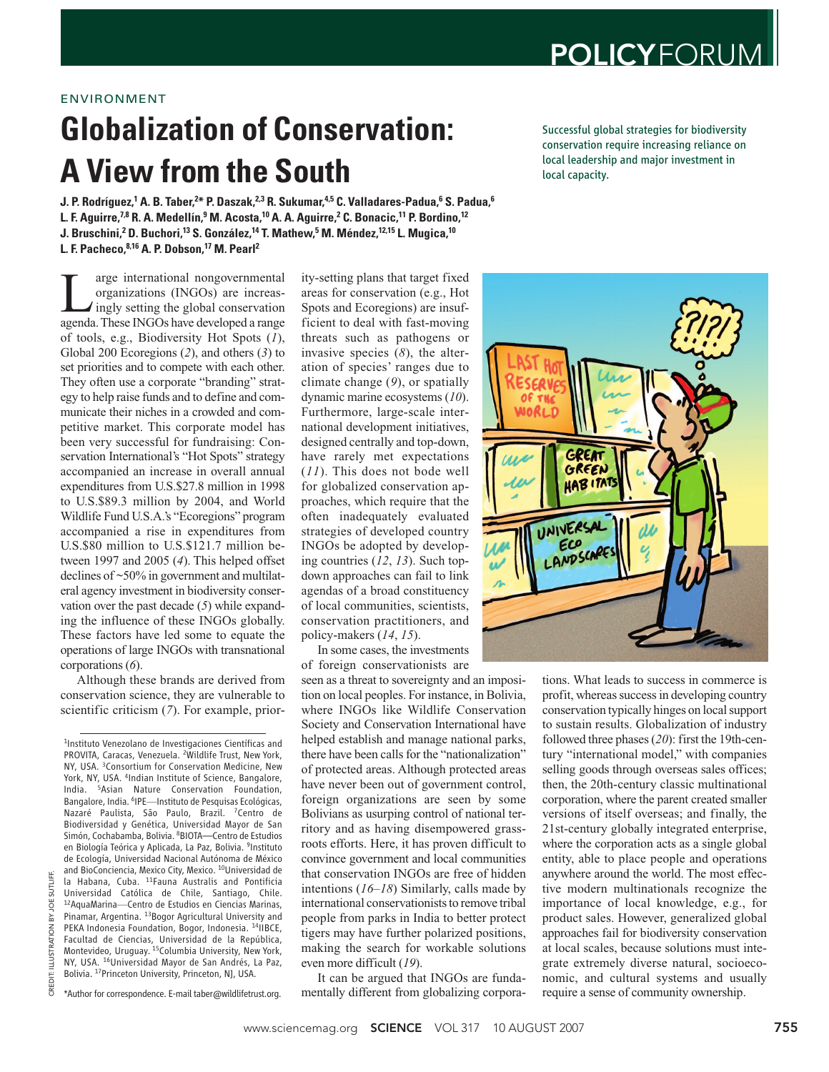PROVITA, Caracas, Venezuela. <sup>2</sup>Wildlife Trust, New York, NY, USA. 3Consortium for Conservation Medicine, New York, NY, USA. <sup>4</sup>Indian Institute of Science, Bangalore, India. 5Asian Nature Conservation Foundation, Bangalore, India. <sup>6</sup>IPE—Instituto de Pesquisas Ecológicas, Nazaré Paulista, São Paulo, Brazil. 7Centro de Biodiversidad y Genética, Universidad Mayor de San Simón, Cochabamba, Bolivia. 8BIOTA—Centro de Estudios en Biología Teórica y Aplicada, La Paz, Bolivia. 9Instituto de Ecología, Universidad Nacional Autónoma de México and BioConciencia, Mexico City, Mexico. 10Universidad de la Habana, Cuba. 11Fauna Australis and Pontificia Universidad Católica de Chile, Santiago, Chile. 12AquaMarina—Centro de Estudios en Ciencias Marinas, Pinamar, Argentina. <sup>13</sup>Bogor Agricultural University and PEKA Indonesia Foundation, Bogor, Indonesia. <sup>14</sup>IIBCE, Facultad de Ciencias, Universidad de la República, Montevideo, Uruguay. 15Columbia University, New York, NY, USA. 16Universidad Mayor de San Andrés, La Paz, Bolivia. 17Princeton University, Princeton, NJ, USA.

\*Author for correspondence. E-mail taber@wildlifetrust.org.

## ENVIRONMENT

## **Globalization of Conservation: A View from the South**

**J. P. Rodríguez,<sup>1</sup> A. B. Taber,<sup>2\*</sup> P. Daszak,<sup>2,3</sup> R. Sukumar,<sup>4,5</sup> C. Valladares-Padua,<sup>6</sup> S. Padua,<sup>6</sup> L. F. Aguirre,7,8 R. A. Medellín,9 M. Acosta,10 A. A. Aguirre,2 C. Bonacic,11 P. Bordino,12 J. Bruschini,2 D. Buchori,13 S. González,14 T. Mathew,5 M. Méndez,12,15 L. Mugica,10 L. F. Pacheco,8,16 A. P. Dobson,17 M. Pearl2**

I arge international nongovernmental<br>
organizations (INGOs) are increas-<br>
ingly setting the global conservation<br>
agenda These INGOs have developed a range organizations (INGOs) are increasagenda. These INGOs have developed a range of tools, e.g., Biodiversity Hot Spots (*1*), Global 200 Ecoregions (*2*), and others (*3*) to set priorities and to compete with each other. They often use a corporate "branding" strategy to help raise funds and to define and communicate their niches in a crowded and competitive market. This corporate model has been very successful for fundraising: Conservation International's "Hot Spots" strategy accompanied an increase in overall annual expenditures from U.S.\$27.8 million in 1998 to U.S.\$89.3 million by 2004, and World Wildlife Fund U.S.A.'s "Ecoregions" program accompanied a rise in expenditures from U.S.\$80 million to U.S.\$121.7 million between 1997 and 2005 (*4*). This helped offset declines of ~50% in government and multilateral agency investment in biodiversity conservation over the past decade (*5*) while expanding the influence of these INGOs globally. These factors have led some to equate the operations of large INGOs with transnational corporations (*6*).

Although these brands are derived from conservation science, they are vulnerable to scientific criticism (*7*). For example, prior-

1Instituto Venezolano de Investigaciones Científicas and

ity-setting plans that target fixed areas for conservation (e.g., Hot Spots and Ecoregions) are insufficient to deal with fast-moving threats such as pathogens or invasive species (*8*), the alteration of species' ranges due to climate change (*9*), or spatially dynamic marine ecosystems (*10*). Furthermore, large-scale international development initiatives, designed centrally and top-down, have rarely met expectations (*11*). This does not bode well for globalized conservation approaches, which require that the often inadequately evaluated strategies of developed country INGOs be adopted by developing countries (*12*, *13*). Such topdown approaches can fail to link agendas of a broad constituency of local communities, scientists, conservation practitioners, and policy-makers (*14*, *15*).

In some cases, the investments of foreign conservationists are

seen as a threat to sovereignty and an imposition on local peoples. For instance, in Bolivia, where INGOs like Wildlife Conservation Society and Conservation International have helped establish and manage national parks, there have been calls for the "nationalization" of protected areas. Although protected areas have never been out of government control, foreign organizations are seen by some Bolivians as usurping control of national territory and as having disempowered grassroots efforts. Here, it has proven difficult to convince government and local communities that conservation INGOs are free of hidden intentions (*16*–*18*) Similarly, calls made by international conservationists to remove tribal people from parks in India to better protect tigers may have further polarized positions, making the search for workable solutions even more difficult (*19*).

It can be argued that INGOs are fundamentally different from globalizing corporaSuccessful global strategies for biodiversity conservation require increasing reliance on local leadership and major investment in local capacity.



tions. What leads to success in commerce is profit, whereas success in developing country conservation typically hinges on local support to sustain results. Globalization of industry followed three phases (*20*): first the 19th-century "international model," with companies selling goods through overseas sales offices; then, the 20th-century classic multinational corporation, where the parent created smaller versions of itself overseas; and finally, the 21st-century globally integrated enterprise, where the corporation acts as a single global entity, able to place people and operations anywhere around the world. The most effective modern multinationals recognize the importance of local knowledge, e.g., for product sales. However, generalized global approaches fail for biodiversity conservation at local scales, because solutions must integrate extremely diverse natural, socioeconomic, and cultural systems and usually require a sense of community ownership.